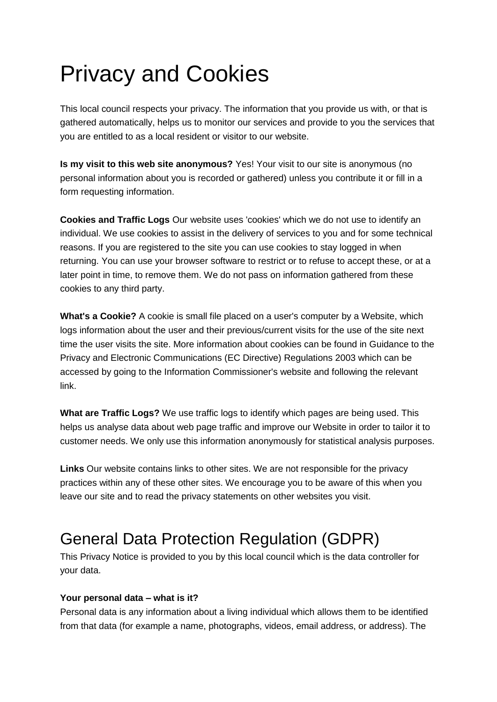# Privacy and Cookies

This local council respects your privacy. The information that you provide us with, or that is gathered automatically, helps us to monitor our services and provide to you the services that you are entitled to as a local resident or visitor to our website.

**Is my visit to this web site anonymous?** Yes! Your visit to our site is anonymous (no personal information about you is recorded or gathered) unless you contribute it or fill in a form requesting information.

**Cookies and Traffic Logs** Our website uses 'cookies' which we do not use to identify an individual. We use cookies to assist in the delivery of services to you and for some technical reasons. If you are registered to the site you can use cookies to stay logged in when returning. You can use your browser software to restrict or to refuse to accept these, or at a later point in time, to remove them. We do not pass on information gathered from these cookies to any third party.

**What's a Cookie?** A cookie is small file placed on a user's computer by a Website, which logs information about the user and their previous/current visits for the use of the site next time the user visits the site. More information about cookies can be found in Guidance to the Privacy and Electronic Communications (EC Directive) Regulations 2003 which can be accessed by going to the Information Commissioner's website and following the relevant link.

**What are Traffic Logs?** We use traffic logs to identify which pages are being used. This helps us analyse data about web page traffic and improve our Website in order to tailor it to customer needs. We only use this information anonymously for statistical analysis purposes.

**Links** Our website contains links to other sites. We are not responsible for the privacy practices within any of these other sites. We encourage you to be aware of this when you leave our site and to read the privacy statements on other websites you visit.

# General Data Protection Regulation (GDPR)

This Privacy Notice is provided to you by this local council which is the data controller for your data.

#### **Your personal data – what is it?**

Personal data is any information about a living individual which allows them to be identified from that data (for example a name, photographs, videos, email address, or address). The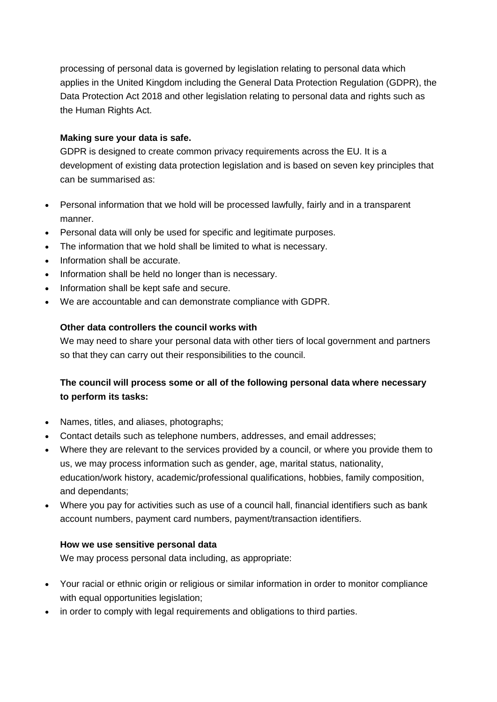processing of personal data is governed by legislation relating to personal data which applies in the United Kingdom including the General Data Protection Regulation (GDPR), the Data Protection Act 2018 and other legislation relating to personal data and rights such as the Human Rights Act.

## **Making sure your data is safe.**

GDPR is designed to create common privacy requirements across the EU. It is a development of existing data protection legislation and is based on seven key principles that can be summarised as:

- Personal information that we hold will be processed lawfully, fairly and in a transparent manner.
- Personal data will only be used for specific and legitimate purposes.
- The information that we hold shall be limited to what is necessary.
- Information shall be accurate.
- Information shall be held no longer than is necessary.
- Information shall be kept safe and secure.
- We are accountable and can demonstrate compliance with GDPR.

# **Other data controllers the council works with**

We may need to share your personal data with other tiers of local government and partners so that they can carry out their responsibilities to the council.

# **The council will process some or all of the following personal data where necessary to perform its tasks:**

- Names, titles, and aliases, photographs;
- Contact details such as telephone numbers, addresses, and email addresses;
- Where they are relevant to the services provided by a council, or where you provide them to us, we may process information such as gender, age, marital status, nationality, education/work history, academic/professional qualifications, hobbies, family composition, and dependants;
- Where you pay for activities such as use of a council hall, financial identifiers such as bank account numbers, payment card numbers, payment/transaction identifiers.

# **How we use sensitive personal data**

We may process personal data including, as appropriate:

- Your racial or ethnic origin or religious or similar information in order to monitor compliance with equal opportunities legislation:
- in order to comply with legal requirements and obligations to third parties.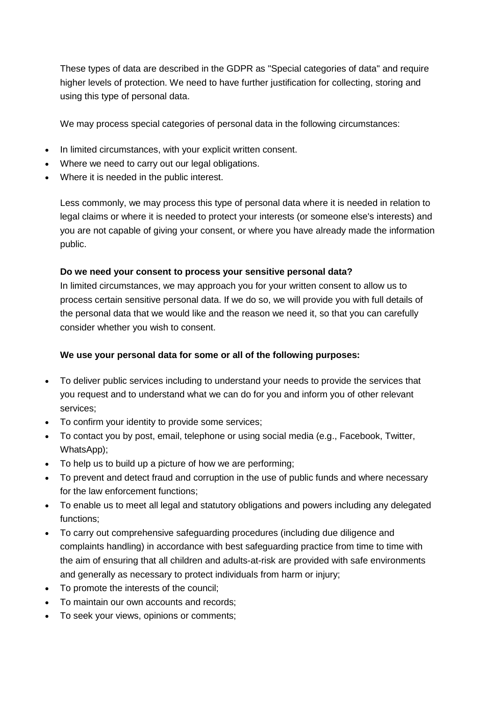These types of data are described in the GDPR as "Special categories of data" and require higher levels of protection. We need to have further justification for collecting, storing and using this type of personal data.

We may process special categories of personal data in the following circumstances:

- In limited circumstances, with your explicit written consent.
- Where we need to carry out our legal obligations.
- Where it is needed in the public interest.

Less commonly, we may process this type of personal data where it is needed in relation to legal claims or where it is needed to protect your interests (or someone else's interests) and you are not capable of giving your consent, or where you have already made the information public.

#### **Do we need your consent to process your sensitive personal data?**

In limited circumstances, we may approach you for your written consent to allow us to process certain sensitive personal data. If we do so, we will provide you with full details of the personal data that we would like and the reason we need it, so that you can carefully consider whether you wish to consent.

# **We use your personal data for some or all of the following purposes:**

- To deliver public services including to understand your needs to provide the services that you request and to understand what we can do for you and inform you of other relevant services;
- To confirm your identity to provide some services;
- To contact you by post, email, telephone or using social media (e.g., Facebook, Twitter, WhatsApp);
- To help us to build up a picture of how we are performing;
- To prevent and detect fraud and corruption in the use of public funds and where necessary for the law enforcement functions;
- To enable us to meet all legal and statutory obligations and powers including any delegated functions;
- To carry out comprehensive safeguarding procedures (including due diligence and complaints handling) in accordance with best safeguarding practice from time to time with the aim of ensuring that all children and adults-at-risk are provided with safe environments and generally as necessary to protect individuals from harm or injury;
- To promote the interests of the council;
- To maintain our own accounts and records;
- To seek your views, opinions or comments;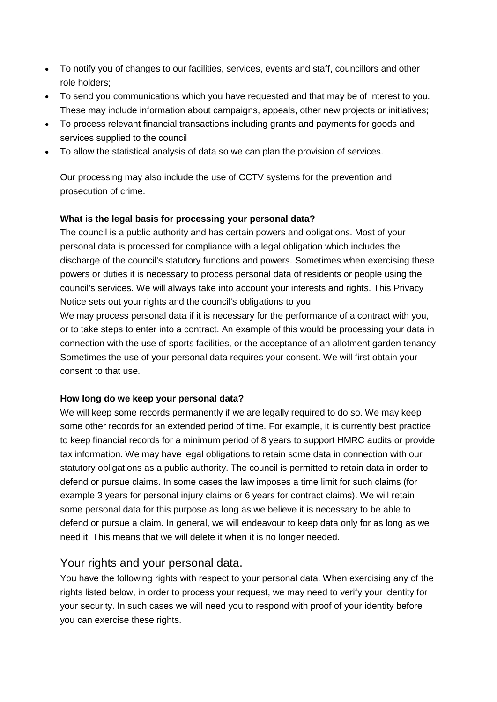- To notify you of changes to our facilities, services, events and staff, councillors and other role holders;
- To send you communications which you have requested and that may be of interest to you. These may include information about campaigns, appeals, other new projects or initiatives;
- To process relevant financial transactions including grants and payments for goods and services supplied to the council
- To allow the statistical analysis of data so we can plan the provision of services.

Our processing may also include the use of CCTV systems for the prevention and prosecution of crime.

#### **What is the legal basis for processing your personal data?**

The council is a public authority and has certain powers and obligations. Most of your personal data is processed for compliance with a legal obligation which includes the discharge of the council's statutory functions and powers. Sometimes when exercising these powers or duties it is necessary to process personal data of residents or people using the council's services. We will always take into account your interests and rights. This Privacy Notice sets out your rights and the council's obligations to you.

We may process personal data if it is necessary for the performance of a contract with you, or to take steps to enter into a contract. An example of this would be processing your data in connection with the use of sports facilities, or the acceptance of an allotment garden tenancy Sometimes the use of your personal data requires your consent. We will first obtain your consent to that use.

#### **How long do we keep your personal data?**

We will keep some records permanently if we are legally required to do so. We may keep some other records for an extended period of time. For example, it is currently best practice to keep financial records for a minimum period of 8 years to support HMRC audits or provide tax information. We may have legal obligations to retain some data in connection with our statutory obligations as a public authority. The council is permitted to retain data in order to defend or pursue claims. In some cases the law imposes a time limit for such claims (for example 3 years for personal injury claims or 6 years for contract claims). We will retain some personal data for this purpose as long as we believe it is necessary to be able to defend or pursue a claim. In general, we will endeavour to keep data only for as long as we need it. This means that we will delete it when it is no longer needed.

# Your rights and your personal data.

You have the following rights with respect to your personal data. When exercising any of the rights listed below, in order to process your request, we may need to verify your identity for your security. In such cases we will need you to respond with proof of your identity before you can exercise these rights.